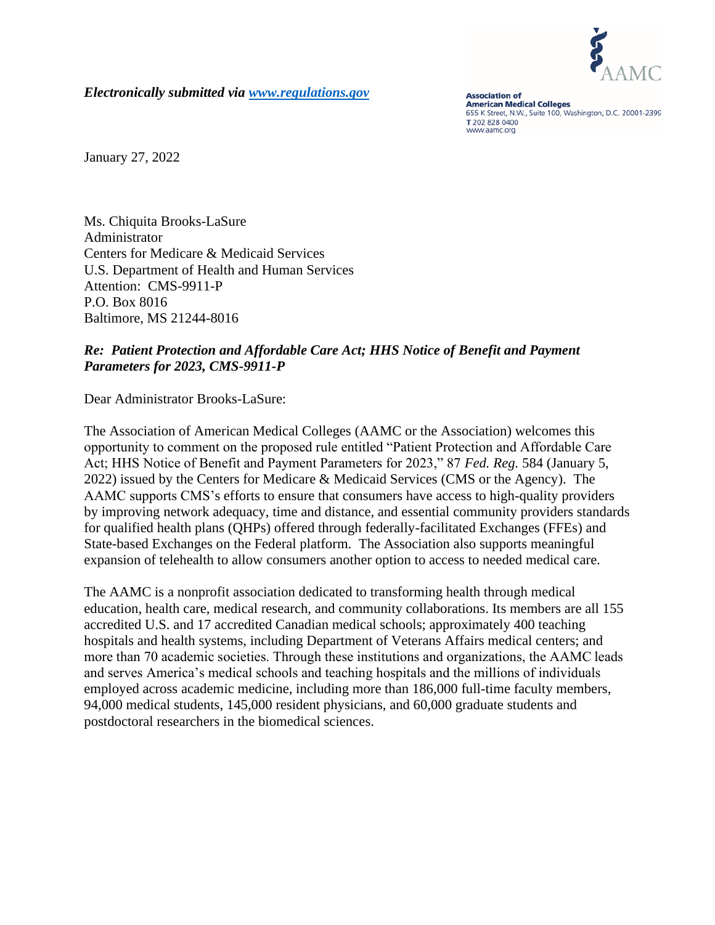

*Electronically submitted via [www.regulations.gov](http://www.regulations.gov/)*

**Association of American Medical Colleges** 655 K Street, N.W., Suite 100, Washington, D.C. 20001-2399 T 202 828 0400 www.aamc.org

January 27, 2022

Ms. Chiquita Brooks-LaSure Administrator Centers for Medicare & Medicaid Services U.S. Department of Health and Human Services Attention: CMS-9911-P P.O. Box 8016 Baltimore, MS 21244-8016

# *Re: Patient Protection and Affordable Care Act; HHS Notice of Benefit and Payment Parameters for 2023, CMS-9911-P*

Dear Administrator Brooks-LaSure:

The Association of American Medical Colleges (AAMC or the Association) welcomes this opportunity to comment on the proposed rule entitled "Patient Protection and Affordable Care Act; HHS Notice of Benefit and Payment Parameters for 2023," 87 *Fed. Reg.* 584 (January 5, 2022) issued by the Centers for Medicare & Medicaid Services (CMS or the Agency). The AAMC supports CMS's efforts to ensure that consumers have access to high-quality providers by improving network adequacy, time and distance, and essential community providers standards for qualified health plans (QHPs) offered through federally-facilitated Exchanges (FFEs) and State-based Exchanges on the Federal platform. The Association also supports meaningful expansion of telehealth to allow consumers another option to access to needed medical care.

The AAMC is a nonprofit association dedicated to transforming health through medical education, health care, medical research, and community collaborations. Its members are all 155 accredited U.S. and 17 accredited Canadian medical schools; approximately 400 teaching hospitals and health systems, including Department of Veterans Affairs medical centers; and more than 70 academic societies. Through these institutions and organizations, the AAMC leads and serves America's medical schools and teaching hospitals and the millions of individuals employed across academic medicine, including more than 186,000 full-time faculty members, 94,000 medical students, 145,000 resident physicians, and 60,000 graduate students and postdoctoral researchers in the biomedical sciences.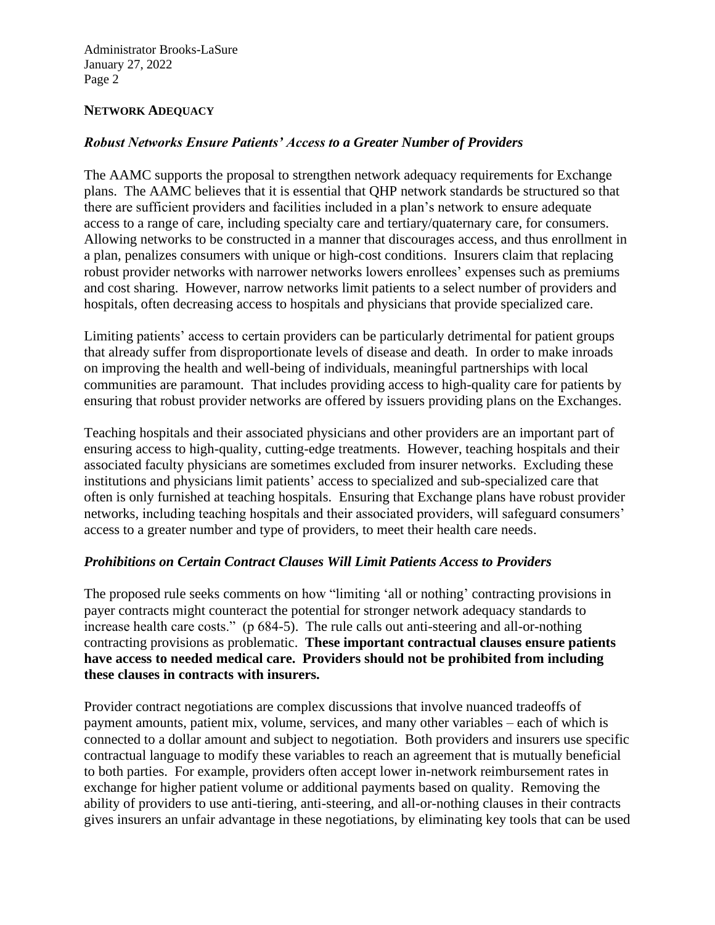### **NETWORK ADEQUACY**

### *Robust Networks Ensure Patients' Access to a Greater Number of Providers*

The AAMC supports the proposal to strengthen network adequacy requirements for Exchange plans. The AAMC believes that it is essential that QHP network standards be structured so that there are sufficient providers and facilities included in a plan's network to ensure adequate access to a range of care, including specialty care and tertiary/quaternary care, for consumers. Allowing networks to be constructed in a manner that discourages access, and thus enrollment in a plan, penalizes consumers with unique or high-cost conditions. Insurers claim that replacing robust provider networks with narrower networks lowers enrollees' expenses such as premiums and cost sharing. However, narrow networks limit patients to a select number of providers and hospitals, often decreasing access to hospitals and physicians that provide specialized care.

Limiting patients' access to certain providers can be particularly detrimental for patient groups that already suffer from disproportionate levels of disease and death. In order to make inroads on improving the health and well-being of individuals, meaningful partnerships with local communities are paramount. That includes providing access to high-quality care for patients by ensuring that robust provider networks are offered by issuers providing plans on the Exchanges.

Teaching hospitals and their associated physicians and other providers are an important part of ensuring access to high-quality, cutting-edge treatments. However, teaching hospitals and their associated faculty physicians are sometimes excluded from insurer networks. Excluding these institutions and physicians limit patients' access to specialized and sub-specialized care that often is only furnished at teaching hospitals. Ensuring that Exchange plans have robust provider networks, including teaching hospitals and their associated providers, will safeguard consumers' access to a greater number and type of providers, to meet their health care needs.

#### *Prohibitions on Certain Contract Clauses Will Limit Patients Access to Providers*

The proposed rule seeks comments on how "limiting 'all or nothing' contracting provisions in payer contracts might counteract the potential for stronger network adequacy standards to increase health care costs." (p 684-5). The rule calls out anti-steering and all-or-nothing contracting provisions as problematic. **These important contractual clauses ensure patients have access to needed medical care. Providers should not be prohibited from including these clauses in contracts with insurers.** 

Provider contract negotiations are complex discussions that involve nuanced tradeoffs of payment amounts, patient mix, volume, services, and many other variables – each of which is connected to a dollar amount and subject to negotiation. Both providers and insurers use specific contractual language to modify these variables to reach an agreement that is mutually beneficial to both parties. For example, providers often accept lower in-network reimbursement rates in exchange for higher patient volume or additional payments based on quality. Removing the ability of providers to use anti-tiering, anti-steering, and all-or-nothing clauses in their contracts gives insurers an unfair advantage in these negotiations, by eliminating key tools that can be used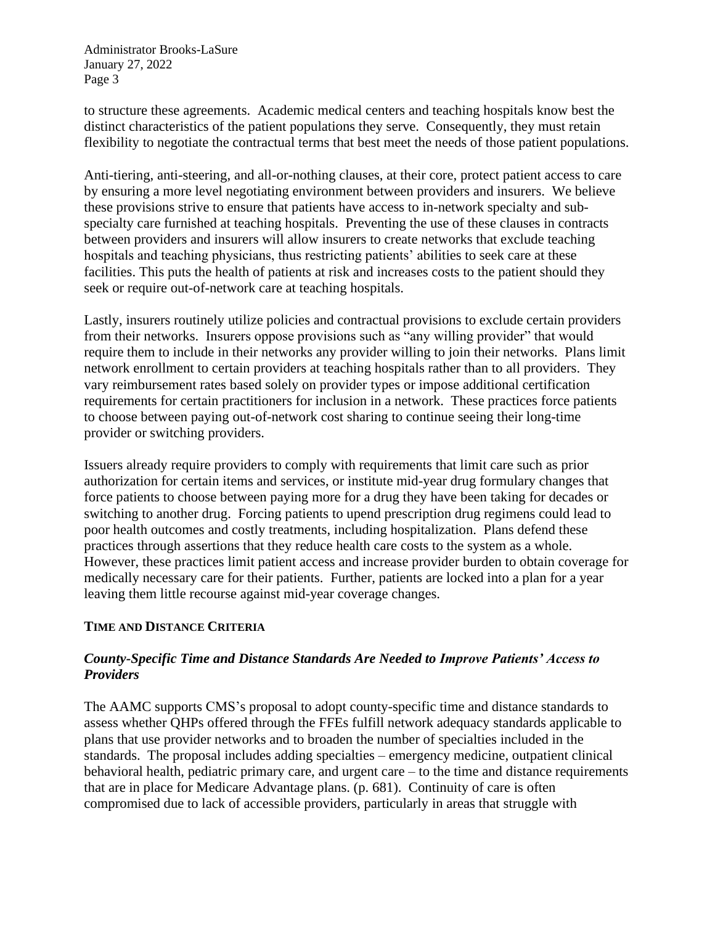to structure these agreements. Academic medical centers and teaching hospitals know best the distinct characteristics of the patient populations they serve. Consequently, they must retain flexibility to negotiate the contractual terms that best meet the needs of those patient populations.

Anti-tiering, anti-steering, and all-or-nothing clauses, at their core, protect patient access to care by ensuring a more level negotiating environment between providers and insurers. We believe these provisions strive to ensure that patients have access to in-network specialty and subspecialty care furnished at teaching hospitals. Preventing the use of these clauses in contracts between providers and insurers will allow insurers to create networks that exclude teaching hospitals and teaching physicians, thus restricting patients' abilities to seek care at these facilities. This puts the health of patients at risk and increases costs to the patient should they seek or require out-of-network care at teaching hospitals.

Lastly, insurers routinely utilize policies and contractual provisions to exclude certain providers from their networks. Insurers oppose provisions such as "any willing provider" that would require them to include in their networks any provider willing to join their networks. Plans limit network enrollment to certain providers at teaching hospitals rather than to all providers. They vary reimbursement rates based solely on provider types or impose additional certification requirements for certain practitioners for inclusion in a network. These practices force patients to choose between paying out-of-network cost sharing to continue seeing their long-time provider or switching providers.

Issuers already require providers to comply with requirements that limit care such as prior authorization for certain items and services, or institute mid-year drug formulary changes that force patients to choose between paying more for a drug they have been taking for decades or switching to another drug. Forcing patients to upend prescription drug regimens could lead to poor health outcomes and costly treatments, including hospitalization. Plans defend these practices through assertions that they reduce health care costs to the system as a whole. However, these practices limit patient access and increase provider burden to obtain coverage for medically necessary care for their patients. Further, patients are locked into a plan for a year leaving them little recourse against mid-year coverage changes.

## **TIME AND DISTANCE CRITERIA**

## *County-Specific Time and Distance Standards Are Needed to Improve Patients' Access to Providers*

The AAMC supports CMS's proposal to adopt county-specific time and distance standards to assess whether QHPs offered through the FFEs fulfill network adequacy standards applicable to plans that use provider networks and to broaden the number of specialties included in the standards. The proposal includes adding specialties – emergency medicine, outpatient clinical behavioral health, pediatric primary care, and urgent care – to the time and distance requirements that are in place for Medicare Advantage plans. (p. 681). Continuity of care is often compromised due to lack of accessible providers, particularly in areas that struggle with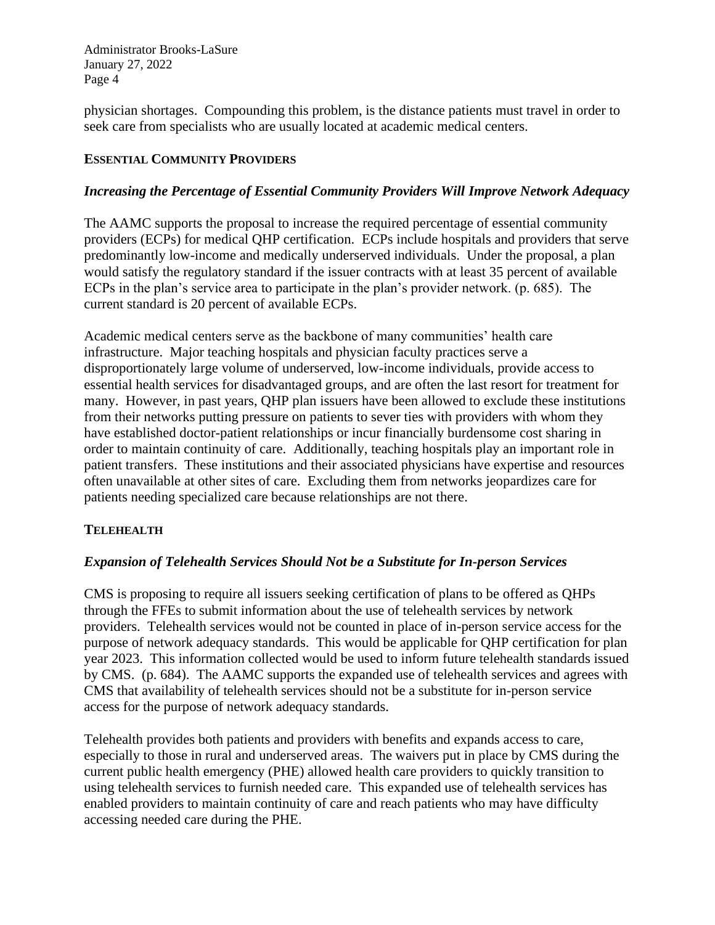physician shortages. Compounding this problem, is the distance patients must travel in order to seek care from specialists who are usually located at academic medical centers.

## **ESSENTIAL COMMUNITY PROVIDERS**

## *Increasing the Percentage of Essential Community Providers Will Improve Network Adequacy*

The AAMC supports the proposal to increase the required percentage of essential community providers (ECPs) for medical QHP certification. ECPs include hospitals and providers that serve predominantly low-income and medically underserved individuals. Under the proposal, a plan would satisfy the regulatory standard if the issuer contracts with at least 35 percent of available ECPs in the plan's service area to participate in the plan's provider network. (p. 685). The current standard is 20 percent of available ECPs.

Academic medical centers serve as the backbone of many communities' health care infrastructure. Major teaching hospitals and physician faculty practices serve a disproportionately large volume of underserved, low-income individuals, provide access to essential health services for disadvantaged groups, and are often the last resort for treatment for many. However, in past years, QHP plan issuers have been allowed to exclude these institutions from their networks putting pressure on patients to sever ties with providers with whom they have established doctor-patient relationships or incur financially burdensome cost sharing in order to maintain continuity of care. Additionally, teaching hospitals play an important role in patient transfers. These institutions and their associated physicians have expertise and resources often unavailable at other sites of care. Excluding them from networks jeopardizes care for patients needing specialized care because relationships are not there.

#### **TELEHEALTH**

#### *Expansion of Telehealth Services Should Not be a Substitute for In-person Services*

CMS is proposing to require all issuers seeking certification of plans to be offered as QHPs through the FFEs to submit information about the use of telehealth services by network providers. Telehealth services would not be counted in place of in-person service access for the purpose of network adequacy standards. This would be applicable for QHP certification for plan year 2023. This information collected would be used to inform future telehealth standards issued by CMS. (p. 684). The AAMC supports the expanded use of telehealth services and agrees with CMS that availability of telehealth services should not be a substitute for in-person service access for the purpose of network adequacy standards.

Telehealth provides both patients and providers with benefits and expands access to care, especially to those in rural and underserved areas. The waivers put in place by CMS during the current public health emergency (PHE) allowed health care providers to quickly transition to using telehealth services to furnish needed care. This expanded use of telehealth services has enabled providers to maintain continuity of care and reach patients who may have difficulty accessing needed care during the PHE.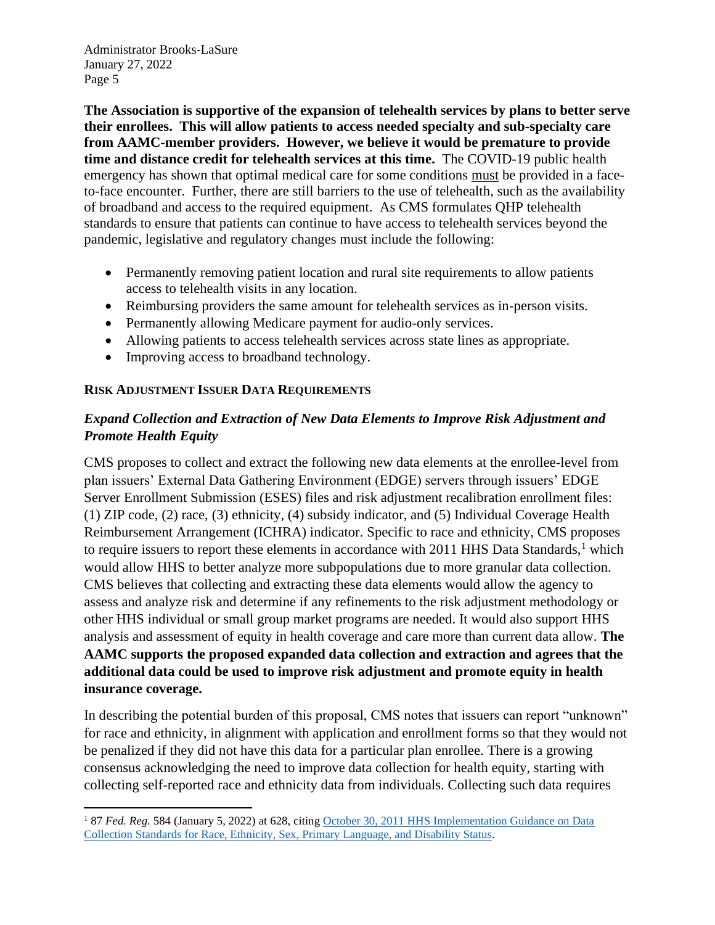**The Association is supportive of the expansion of telehealth services by plans to better serve their enrollees. This will allow patients to access needed specialty and sub-specialty care from AAMC-member providers. However, we believe it would be premature to provide time and distance credit for telehealth services at this time.** The COVID-19 public health emergency has shown that optimal medical care for some conditions must be provided in a faceto-face encounter. Further, there are still barriers to the use of telehealth, such as the availability of broadband and access to the required equipment. As CMS formulates QHP telehealth standards to ensure that patients can continue to have access to telehealth services beyond the pandemic, legislative and regulatory changes must include the following:

- Permanently removing patient location and rural site requirements to allow patients access to telehealth visits in any location.
- Reimbursing providers the same amount for telehealth services as in-person visits.
- Permanently allowing Medicare payment for audio-only services.
- Allowing patients to access telehealth services across state lines as appropriate.
- Improving access to broadband technology.

## **RISK ADJUSTMENT ISSUER DATA REQUIREMENTS**

# *Expand Collection and Extraction of New Data Elements to Improve Risk Adjustment and Promote Health Equity*

CMS proposes to collect and extract the following new data elements at the enrollee-level from plan issuers' External Data Gathering Environment (EDGE) servers through issuers' EDGE Server Enrollment Submission (ESES) files and risk adjustment recalibration enrollment files: (1) ZIP code, (2) race, (3) ethnicity, (4) subsidy indicator, and (5) Individual Coverage Health Reimbursement Arrangement (ICHRA) indicator. Specific to race and ethnicity, CMS proposes to require issuers to report these elements in accordance with  $2011$  HHS Data Standards,<sup>1</sup> which would allow HHS to better analyze more subpopulations due to more granular data collection. CMS believes that collecting and extracting these data elements would allow the agency to assess and analyze risk and determine if any refinements to the risk adjustment methodology or other HHS individual or small group market programs are needed. It would also support HHS analysis and assessment of equity in health coverage and care more than current data allow. **The AAMC supports the proposed expanded data collection and extraction and agrees that the additional data could be used to improve risk adjustment and promote equity in health insurance coverage.**

In describing the potential burden of this proposal, CMS notes that issuers can report "unknown" for race and ethnicity, in alignment with application and enrollment forms so that they would not be penalized if they did not have this data for a particular plan enrollee. There is a growing consensus acknowledging the need to improve data collection for health equity, starting with collecting self-reported race and ethnicity data from individuals. Collecting such data requires

<sup>&</sup>lt;sup>1</sup> 87 *Fed. Reg.* 584 (January 5, 2022) at 628, citing October 30, 2011 HHS Implementation Guidance on Data [Collection Standards for Race, Ethnicity, Sex, Primary Language, and Disability Status.](https://aspe.hhs.gov/reports/hhs-implementation-guidance-data-collection-standards-race-ethnicity-sex-primary-language-disability-0#V)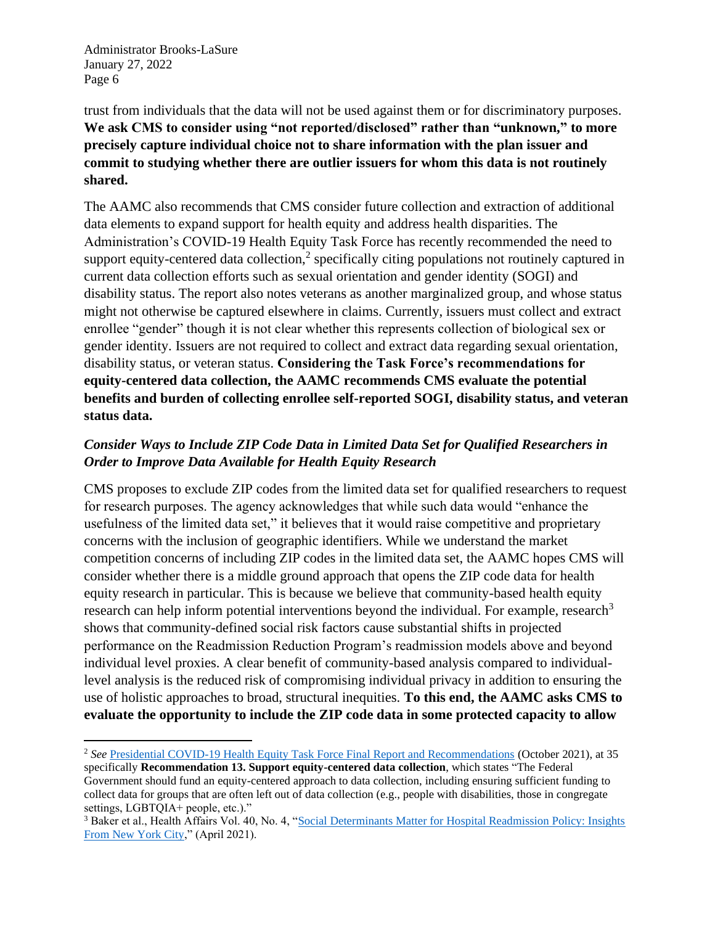trust from individuals that the data will not be used against them or for discriminatory purposes. **We ask CMS to consider using "not reported/disclosed" rather than "unknown," to more precisely capture individual choice not to share information with the plan issuer and commit to studying whether there are outlier issuers for whom this data is not routinely shared.**

The AAMC also recommends that CMS consider future collection and extraction of additional data elements to expand support for health equity and address health disparities. The Administration's COVID-19 Health Equity Task Force has recently recommended the need to support equity-centered data collection, $2$  specifically citing populations not routinely captured in current data collection efforts such as sexual orientation and gender identity (SOGI) and disability status. The report also notes veterans as another marginalized group, and whose status might not otherwise be captured elsewhere in claims. Currently, issuers must collect and extract enrollee "gender" though it is not clear whether this represents collection of biological sex or gender identity. Issuers are not required to collect and extract data regarding sexual orientation, disability status, or veteran status. **Considering the Task Force's recommendations for equity-centered data collection, the AAMC recommends CMS evaluate the potential benefits and burden of collecting enrollee self-reported SOGI, disability status, and veteran status data.**

# *Consider Ways to Include ZIP Code Data in Limited Data Set for Qualified Researchers in Order to Improve Data Available for Health Equity Research*

CMS proposes to exclude ZIP codes from the limited data set for qualified researchers to request for research purposes. The agency acknowledges that while such data would "enhance the usefulness of the limited data set," it believes that it would raise competitive and proprietary concerns with the inclusion of geographic identifiers. While we understand the market competition concerns of including ZIP codes in the limited data set, the AAMC hopes CMS will consider whether there is a middle ground approach that opens the ZIP code data for health equity research in particular. This is because we believe that community-based health equity research can help inform potential interventions beyond the individual. For example, research<sup>3</sup> shows that community-defined social risk factors cause substantial shifts in projected performance on the Readmission Reduction Program's readmission models above and beyond individual level proxies. A clear benefit of community-based analysis compared to individuallevel analysis is the reduced risk of compromising individual privacy in addition to ensuring the use of holistic approaches to broad, structural inequities. **To this end, the AAMC asks CMS to evaluate the opportunity to include the ZIP code data in some protected capacity to allow** 

<sup>2</sup> *See* [Presidential COVID-19 Health Equity Task Force Final Report and Recommendations](https://www.minorityhealth.hhs.gov/assets/pdf/HETF_Report_508_102821_9am_508Team%20WIP11-compressed.pdf) (October 2021), at 35 specifically **Recommendation 13. Support equity-centered data collection**, which states "The Federal Government should fund an equity-centered approach to data collection, including ensuring sufficient funding to collect data for groups that are often left out of data collection (e.g., people with disabilities, those in congregate settings, LGBTOIA+ people, etc.)."

<sup>&</sup>lt;sup>3</sup> Baker et al., Health Affairs Vol. 40, No. 4, "Social Determinants Matter for Hospital Readmission Policy: Insights [From New York City,](https://www.healthaffairs.org/doi/abs/10.1377/hlthaff.2020.01742)" (April 2021).